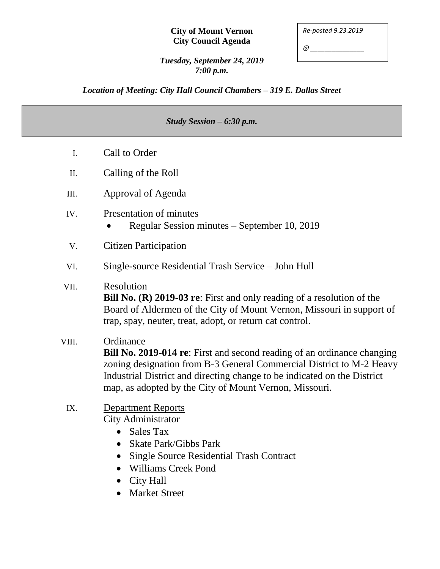#### **City of Mount Vernon City Council Agenda**

| Re-posted 9.23.2019 |  |
|---------------------|--|
| @                   |  |

*Tuesday, September 24, 2019 7:00 p.m.*

*Location of Meeting: City Hall Council Chambers – 319 E. Dallas Street*

#### *Study Session – 6:30 p.m.*

- I. Call to Order
- II. Calling of the Roll
- III. Approval of Agenda
- IV. Presentation of minutes
	- Regular Session minutes September 10, 2019
- V. Citizen Participation
- VI. Single-source Residential Trash Service John Hull

### VII. Resolution

**Bill No. (R) 2019-03 re**: First and only reading of a resolution of the Board of Aldermen of the City of Mount Vernon, Missouri in support of trap, spay, neuter, treat, adopt, or return cat control.

### VIII. Ordinance

**Bill No. 2019-014 re**: First and second reading of an ordinance changing zoning designation from B-3 General Commercial District to M-2 Heavy Industrial District and directing change to be indicated on the District map, as adopted by the City of Mount Vernon, Missouri.

#### IX. Department Reports City Administrator

- Sales Tax
- Skate Park/Gibbs Park
- Single Source Residential Trash Contract
- Williams Creek Pond
- City Hall
- Market Street